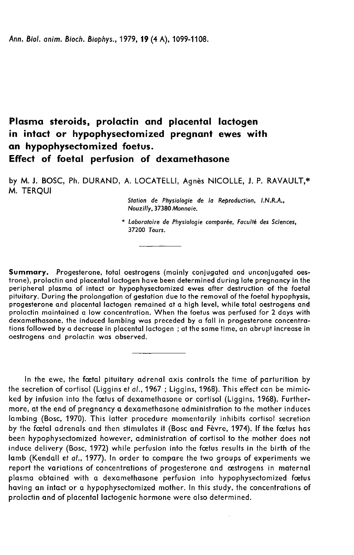Ann. Biol. anim. Bioch. Biophys., 1979, 19 (4 A), 1099-1108.

# Plasma steroids, prolactin and placental lactogen in intact or hypophysectomized pregnant ewes with an hypophysectomized foetus. Effect of foetal perfusion of dexamethasone

by M. J. BOSC, Ph. DURAND, A. LOCATELLI, Agnès NICOLLE, J. P. RAVAULT,\* M. TERQUI

> Station de Physiologie de la Reproduction, I.N.R.A., Nouzilly, 37380 Monnaie.

\* Laboratoire de Physiologie compar6e, Faculté des Sciences, 37200 Tours.

Summary. Progesterone, total oestrogens (mainly conjugated and unconjugated oestrone), prolactin and placental lactogen have been determined during late pregnancy in the peripheral plasma of intact or hypophysectomized ewes after destruction of the foetal pituitary. During the prolongation of gestation due to the removal of the foetal hypophysis, progesterone and placental lactogen remained at a high level, while total oestrogens and prolactin maintained a low concentration. When the foetus was perfused for 2 days with dexamethasone, the induced lambing was preceded by a fall in progesterone concentrations followed by a decrease in placental lactogen ; at the same time, an abrupt increase in oestrogens and prolactin was observed.

In the ewe, the foetal pituitary adrenal axis controls the time of parturition by the secretion of cortisol (Liggins et al., 1967 ; Liggins, 1968). This effect can be mimicked by infusion into the foetus of dexamethasone or cortisol (Liggins, 1968). Furthermore, at the end of pregnancy a dexamethasone administration to the mother induces lambing (Bosc, 1970). This latter procedure momentarily inhibits cortisol secretion by the foetal adrenals and then stimulates it (Bosc and Fèvre, 1974). If the foetus has been hypophysectomized however, administration of cortisol to the mother does not induce delivery (Bosc, 1972) while perfusion into the foetus results in the birth of the lamb (Kendall et al., 1977). In order to compare the two groups of experiments we report the variations of concentrations of progesterone and oestrogens in maternal plasma obtained with a dexamethasone perfusion into hypophysectomized foetus having an intact or a hypophysectomized mother. In this study, the concentrations of prolactin and of placental lactogenic hormone were also determined.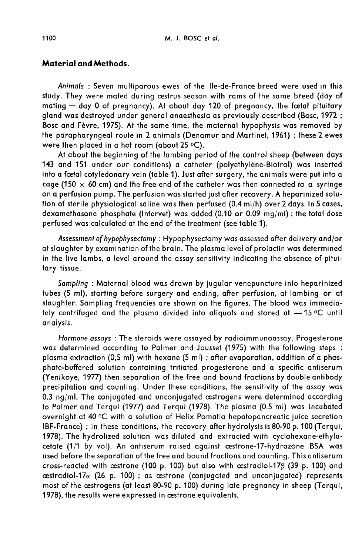### Material and Methods.

Animals : Seven multiparous ewes of the Ile-de-France breed were used in this study. They were mated during œstrus season with rams of the same breed (day of  $mating = day 0$  of pregnancy). At about day 120 of pregnancy, the foetal pituitary gland was destroyed under general anaesthesia as previously described (Bosc, 1972 ; Bosc and Fèvre, 1975). At the same time, the maternal hypophysis was removed by the parapharyngeal route in 2 animals (Denamur and Martinet, 1961) ; these 2 ewes were then placed in a hot room (about  $25 \text{ }^{\circ}$ C).

At about the beginning of the lambing period of the control sheep (between days 143 and 151 under our conditions) a catheter (polyethylène-Biotrol) was inserted into a foetal cotyledonary vein (table 1). Just after surgery, the animals were put into a cage (150  $\times$  60 cm) and the free end of the catheter was then connected to a syringe on a perfusion pump. The perfusion was started just after recovery. A heparinized solution of sterile physiological saline was then perfused (0.4 ml/h) over 2 days. In 5 cases, dexamethasone phosphate (Intervet) was added (0.10 or 0.09 mg/ml) ; the total dose perfused was calculated at the end of the treatment (see table 1).

Assessment of hypophysectomy : Hypophysectomy was assessed after delivery and/or at slaughter by examination of the brain. The plasma level of prolactin was determined in the live lambs, a level around the assay sensitivity indicating the absence of pituitary tissue.

Sampling : Maternal blood was drawn by jugular venepuncture into heparinized tubes (5 ml), starting before surgery and ending, after perfusion, at lambing or at slaughter. Sampling frequencies are shown on the figures. The blood was immediately centrifuged and the plasma divided into aliquots and stored at  $-15$  °C until analysis.

Hormone assays : The steroids were assayed by radioimmunoassay. Progesterone was determined according to Palmer and Jousset (1975) with the following steps : plasma extraction (0,5 ml) with hexane (5 ml) ; after evaporation, addition of a phosphate-buffered solution containing tritiated progesterone and a specific antiserum (Yenikoye, 1977) then separation of the free and bound fractions by double antibody precipitation and counting. Under these conditions, the sensitivity of the assay was 0.3 ng/ml. The conjugated and unconjugated oestrogens were determined according to Palmer and Terqui (1977) and Terqui (1978). The plasma (0.5 ml) was incubated overnight at 40 °C with a solution of Helix Pomatia hepatopancreatic juice secretion IBF-France) ; in these conditions, the recovery after hydrolysis is 80-90 p. 100 (Terqui, 1978). The hydrolized solution was diluted and extracted with cyclohexane-ethylacetate (1/1 by vol). An antiserum raised against oestrone-17-hydrazone BSA was used before the separation of the free and bound fractions and counting. This antiserum cross-reacted with œstrone (100 p. 100) but also with œstradiol-17 $\beta$  (39 p. 100) and  $\alpha$ stradiol-17 $\alpha$  (26 p. 100); as  $\alpha$ strone (conjugated and unconjugated) represents most of the oestrogens (at least 80-90 p. 100) during late pregnancy in sheep (Terqui, 1978), the results were expressed in oestrone equivalents.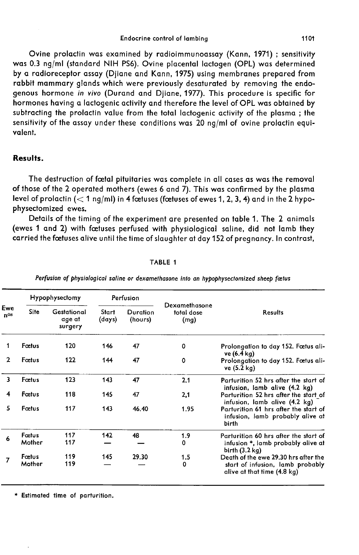Ovine prolactin was examined by radioimmunoassay (Kann, 1971) ; sensitivity was 0.3 ng/ml (standard NIH PS6). Ovine placental lactogen (OPL) was determined by a radioreceptor assay (Dijane and Kann, 1975) using membranes prepared from rabbit mammary glands which were previously desaturated by removing the endogenous hormone in vivo (Durand and Djiane, 1977). This procedure is specific for hormones having a lactogenic activity and therefore the level of OPL was obtained by subtracting the prolactin value from the total lactogenic activity of the plasma ; the sensitivity of the assay under these conditions was 20 ng/ml of ovine prolactin equivalent.

## Results.

The destruction of fœtal pituitaries was complete in all cases as was the removal of those of the 2 operated mothers (ewes 6 and 7). This was confirmed by the plasma level of prolactin  $\ll$  1 ng/mi) in 4 foetuses (foetuses of ewes 1, 2, 3, 4) and in the 2 hypophysectomized ewes.

Details of the timing of the experiment are presented on table 1. The 2 animals (ewes 1 and 2) with foetuses perfused with physiological saline, did not lamb they carried the foetuses alive until the time of slaughter at day 152 of pregnancy. In contrast,

| Ewe<br>n <sub>os</sub> | Hypophysectomy  |                                         | Perfusion       |                     |                                     |                                                                                                         |  |
|------------------------|-----------------|-----------------------------------------|-----------------|---------------------|-------------------------------------|---------------------------------------------------------------------------------------------------------|--|
|                        | <b>Site</b>     | <b>Gestational</b><br>age at<br>surgery | Start<br>(days) | Duration<br>(hours) | Dexamethasone<br>total dose<br>(mg) | Results                                                                                                 |  |
| 1                      | Fœtus           | 120                                     | 146             | 47                  | 0                                   | Prolongation to day 152. Fœtus ali-<br>ve (6.4 kg)                                                      |  |
| $\mathbf{2}$           | Fœtus           | 122                                     | 144             | 47                  | 0                                   | Prolongation to day 152. Fœtus ali-<br>ve (5.2 kg)                                                      |  |
| 3                      | Fætus           | 123                                     | 143             | 47                  | 2.1                                 | Parturition 52 hrs after the start of<br>infusion, lamb alive (4.2 kg)                                  |  |
| 4                      | Fœtus           | 118                                     | 145             | 47                  | 2,1                                 | Parturition 52 hrs after the start of<br>infusion, lamb alive (4.2 kg)                                  |  |
| 5                      | Fœtus           | 117                                     | 143             | 46.40               | 1.95                                | Parturition 61 hrs after the start of<br>infusion, lamb probably alive at<br>birth                      |  |
| 6                      | Fœtus           | 117                                     | 142             | 48                  | 1.9                                 | Parturition 60 hrs after the start of                                                                   |  |
|                        | Mother          | 117                                     |                 |                     | 0                                   | infusion *, lamb probably alive at<br>birth $(3.2 \text{ kg})$                                          |  |
| 7                      | Fætus<br>Mother | 119<br>119                              | 145             | 29.30               | 1.5<br>0                            | Death of the ewe 29.30 hrs after the<br>start of infusion, lamb probably<br>alive at that time (4.8 kg) |  |

## TABLE 1

Perfusion of physiological saline or dexamethasone into an hypophysectomized sheep foetus

\* Estimated time of parturition.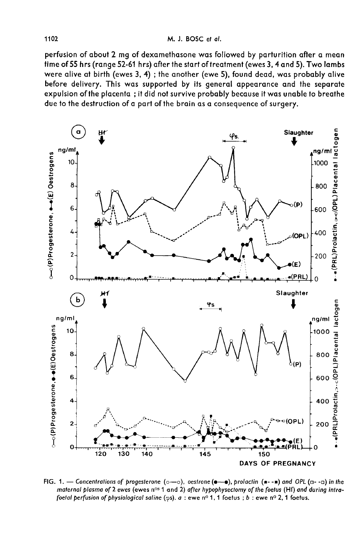perfusion of about 2 mg of dexamethasone was followed by parturition after a mean time of 55 hrs (range 52-61 hrs) after the start of treatment (ewes 3, 4 and 5). Two lambs were alive at birth (ewes 3, 4) ; the another (ewe 5), found dead, was probably alive before delivery. This was supported by its general appearance and the separate expulsion of the placenta ; it did not survive probably because it was unable to breathe due to the destruction of a part of the brain as a consequence of surgery.



FIG. 1. - Concentrations of progesterone  $(\circ - \circ)$ , oestrone  $(\bullet - \bullet)$ , prolactin  $(\bullet - \bullet)$  and OPL  $(\Box - \Box)$  in the maternal plasma of 2 ewes (ewes nos 1 and 2) after hypophysectomy of the foetus (Hf) and during intrafoetal perfusion of physiological saline ( $\varphi$ s).  $a$ : ewe nº 1, 1 foetus; b: ewe nº 2, 1 foetus.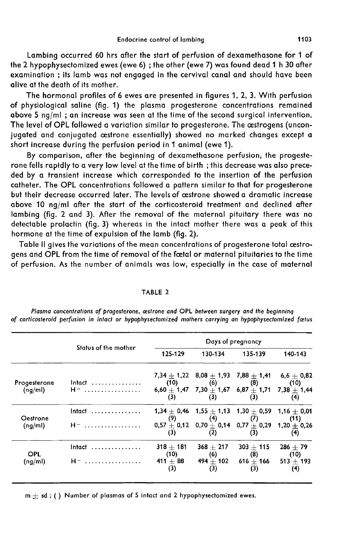Lambing occurred 60 hrs after the start of perfusion of dexamethasone for 1 of the 2 hypophysectomized ewes (ewe 6) ; the other (ewe 7) was found dead 1 h 30 after examination ; its lamb was not engaged in the cervival canal and should have been alive at the death of its mother.

The hormonal profiles of 6 ewes are presented in figures 1, 2, 3. With perfusion of physiological saline (fig. 1) the plasma progesterone concentrations remained above 5 ng/mi ; an increase was seen at the time of the second surgical intervention. The level of OPL followed a variation similar to progesterone. The cestrogens (unconjugated and conjugated oestrone essentially) showed no marked changes except a short increase during the perfusion period in 1 animal (ewe 1).

By comparison, after the beginning of dexamethasone perfusion, the progeste rone fells rapidly to a very low level at the time of birth ; this decrease was also preceded by a transient increase which corresponded to the insertion of the perfusion catheter. The OPL concentrations followed a pattern similar to that for progesterone but their decrease occurred later. The levels of oestrone showed a dramatic increase above 10 ng/ml after the start of the corticosteroid treatment and declined after lambing (fig. 2 and 3). After the removal of the maternal pituitary there was no detectable prolactin (fig. 3) whereas in the intact mother there was a peak of this hormone at the time of expulsion of the lamb (fig. 2).

Table II gives the variations of the mean concentrations of progesterone total cestrogens and OPL from the time of removal of the foetal or maternal pituitaries to the time of perfusion. As the number of animals was low, especially in the case of maternal

|  | `AB∟ |  |  |
|--|------|--|--|
|--|------|--|--|

Plasma concentrations of progesterone, æstrone and OPL between surgery and the beginning of corticosteroid perfusion in intact or hypophysectomized mothers carrying an hypophysectomized fœtus

|                         |                      | Days of pregnancy                          |                           |                                                                                                                                                  |                           |
|-------------------------|----------------------|--------------------------------------------|---------------------------|--------------------------------------------------------------------------------------------------------------------------------------------------|---------------------------|
|                         | Status of the mother | 125-129                                    | 130-134                   | 135-139                                                                                                                                          | 140-143                   |
| Progesterone<br>(ng/ml) | H <sup>-</sup>       | (10)<br>(3)                                | (6)<br>(3)                | $7,34 \pm 1,22$ $8,08 \pm 1,93$ $7,88 \pm 1,41$ $6,6 \pm 0,82$<br>(8)<br>$6,60 \pm 1,47$ 7,30 $\pm$ 1,67 6,87 $\pm$ 1,71 7,38 $\pm$ 1,44<br>(3)  | (10)<br>(4)               |
| Oestrone<br>(ng/ml)     | Intact               | (9)<br>(3)                                 | (4)<br>(2)                | $1,34 \pm 0,46$ $1,55 \pm 1,13$ $1,30 \pm 0,59$ $1,16 \pm 0,01$<br>(7)<br>$0.57 \pm 0.12$ $0.70 \pm 0.14$ $0.77 \pm 0.29$ $1.20 \pm 0.26$<br>(3) | (11)<br>(4)               |
| OPL.<br>(ng/ml)         | Intact               | $318 + 181$<br>(10)<br>411 $\pm$ 88<br>(3) | $368 + 217$<br>(6)<br>(3) | $303 + 115$<br>(8)<br>$\begin{array}{cc} 494 \pm 102 & 616 \pm 166 & 513 \pm 193 \end{array}$<br>(3)                                             | $286 + 79$<br>(10)<br>(4) |

 $m \pm sd$ ; () Number of plasmas of 5 intact and 2 hypophysectomized ewes.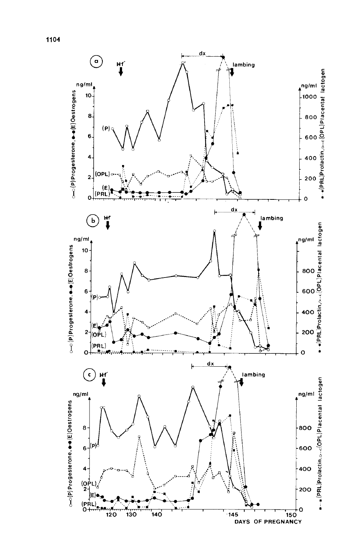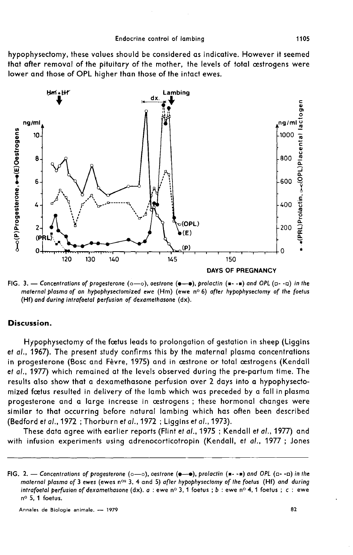hypophysectomy, these values should be considered as indicative. However it seemed that after removal of the pituitary of the mother, the levels of total oestrogens were lower and those of OPL higher than those of the intact ewes.



FIG. 3. - Concentrations of progesterone ( $\circ$ - $\circ$ ), oestrone ( $\bullet$ - $\bullet$ ), prolactin ( $\bullet$ - $\bullet$ ) and OPL ( $\circ$ - $\circ$ ) in the maternal blasma of an hybobhysectomized ewe (Hm) (ewe nº 6) after hybobhysectomy of the foetus (Hf) and during intrafoetal perfusion of dexamethasone (dx).

## Discussion.

Hypophysectomy of the foetus leads to prolongation of gestation in sheep (Liggins et al., 1967). The present study confirms this by the maternal plasma concentrations in progesterone (Bosc and Fèvre, 1975) and in cestrone or total oestrogens (Kendall et al., 1977) which remained at the levels observed during the pre-partum time. The results also show that a dexamethasone perfusion over 2 days into a hypophysectomized foetus resulted in delivery of the lamb which was preceded by a fall in plasma progesterone and a large increase in oestrogens ; these hormonal changes were similar to that occurring before natural lambing which has often been described (Bedford et al., 1972 ; Thorburn et al., 1972 ; Liggins et al., 1973).

These data agree with earlier reports (Flint et al., 1975 ; Kendall et al., 1977) and with infusion experiments using adrenocorticotropin (Kendall, et al., 1977 : Jones

FIG. 2. - Concentrations of progesterone ( $\circ$ - $\circ$ ), oestrone ( $\bullet$ - $\bullet$ ), prolactin ( $\bullet$ - $\bullet$ ) and OPL ( $\circ$ - $\circ$ ) in the maternal plasma of 3 ewes (ewes n<sup>os</sup> 3, 4 and 5) after hypophysectomy of the foetus (Hf) and during intrafoetal perfusion of dexamethasone (dx),  $a :$  ewe nº 3, 1 foetus ; b : ewe nº 4, 1 foetus ; c : ewe nº 5, 1 foetus.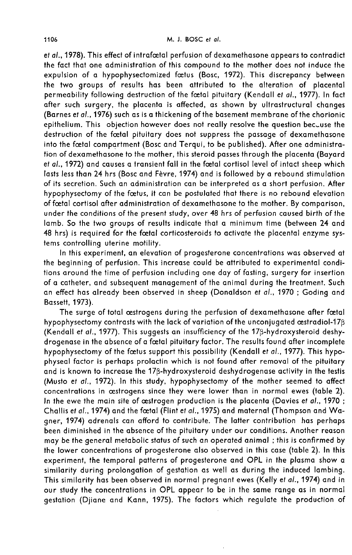et al., 1978). This effect of intrafcetal perfusion of dexamethasone appears to contradict the fact that one administration of this compound to the mother does not induce the expulsion of a hypophysectomized fœtus (Bosc, 1972). This discrepancy between the two groups of results has been attributed to the alteration of placental permeability following destruction of the foetal pituitary (Kendall et al., 1977). In fact after such surgery, the placenta is affected, as shown by ultrastructural changes (Barnes et al., 1976) such as is a thickening of the basement membrane of the chorionic epithelium. This objection however does not really resolve the question because the destruction of the fostal pituitary does not suppress the passage of dexamethasone into the fœtal compartment (Bosc and Terqui, to be published). After one administration of dexamethasone to the mother, this steroid passes through the placenta (Bayard et al., 1972) and causes a transient fall in the foetal cortisol level of intact sheep which lasts less than 24 hrs (Bosc and Fèvre, 1974) and is followed by a rebound stimulation of its secretion. Such an administration can be interpreted as a short perfusion. After hypophysectomy of the fœtus, it can be postulated that there is no rebound elevation of fortal cortisol after administration of dexamethasone to the mother. By comparison, under the conditions of the present study, over 48 hrs of perfusion caused birth of the lamb. So the two groups of results indicate that a minimum time (between 24 and 48 hrs) is required for the fœtal corticosteroids to activate the placental enzyme systems controlling uterine motility.

In this experiment, an elevation of progesterone concentrations was observed at the beginning of perfusion. This increase could be attributed to experimental conditions around the time of perfusion including one day of fasting, surgery for insertion of a catheter, and subsequent management of the animal during the treatment. Such an effect has already been observed in sheep (Donaldson et al., 1970; Goding and Bassett, 1973).

The surge of total œstrogens during the perfusion of dexamethasone after fœtal hypophysectomy contrasts with the lack of variation of the unconjugated œstradiol-178 (Kendall et al., 1977). This suggests an insufficiency of the 178-hydroxysteroid deshydrogenase in the absence of a fostal pituitary factor. The results found after incomplete hypophysectomy of the fœtus support this possibility (Kendall et al., 1977). This hypophyseal factor is perhaps prolactin which is not found after removal of the pituitary and is known to increase the 17<sub>8</sub>-hydroxysteroid deshydrogenase activity in the testis (Musto et al., 1972). In this study, hypophysectomy of the mother seemed to affect concentrations in cestrogens since they were lower than in normal ewes (table 2). In the ewe the main site of œstrogen production is the placenta (Davies et al., 1970; Challis et al., 1974) and the foetal (Flint et al., 1975) and maternal (Thompson and Wagner, 1974) adrenals can afford to contribute. The latter contribution has perhaps been diminished in the absence of the pituitary under our conditions. Another reason may be the general metabolic status of such an operated animal; this is confirmed by the lower concentrations of progesterone also observed in this case (table 2). In this experiment, the temporal patterns of progesterone and OPL in the plasma show a similarity during prolongation of gestation as well as during the induced lambing. This similarity has been observed in normal pregnant ewes (Kelly et al., 1974) and in our study the concentrations in OPL appear to be in the same range as in normal aestation (Diiane and Kann, 1975). The factors which regulate the production of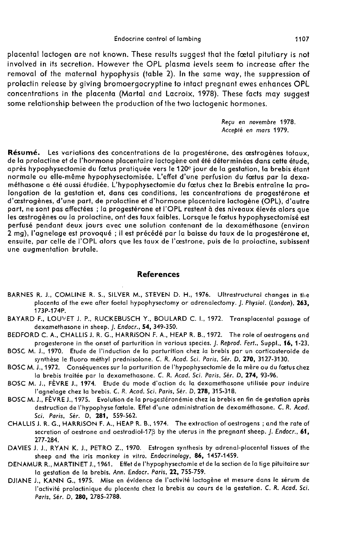placental lactogen are not known. These results suggest that the fcetal pitutiary is not involved in its secretion. However the OPL plasma levels seem to increase after the removal of the maternal hypophysis (table 2). In the same way, the suppression of prolactin release by giving bromoergocryptine to intact pregnant ewes enhances OPL concentrations in the placenta (Martal and Lacroix, 1978). These facts may suggest some relationship between the production of the two lactogenic hormones.

> Regu en novembre 1978. Accept6 en mars 1979.

Résumé. Les variations des concentrations de la progestérone, des œstrogènes totaux, de la prolactine et de l'hormone placentaire lactogène ont été déterminées dans cette étude,<br>après hypophysectomie du fœtus pratiquée vers le 120<sup>e</sup> jour de la gestation, la brebis étant normale ou elle-même hypophysectomisée. L'effet d'une perfusion du foetus par la dexaméthasone a été aussi étudiée. L'hypophysectomie du foetus chez la Brebis entraîne la prolongation de la gestation et, dans ces conditions, les concentrations de progestérone et d'oestrogènes, d'une part, de prolactine et d'hormone placentaire lactogène (OPL), d'autre part, ne sont pas affectées ; la progestérone et l'OPL restent à des niveaux élevés alors que les œstrogènes ou la prolactine, ont des taux faibles. Lorsque le fœtus hypophysectomisé est perfusé pendant deux jours avec une solution contenant de la dexaméthasone (environ 2 mg), l'agnelage est provoqué ; il est précédé par la baisse du taux de la progestérone et, ensuite, par celle de l'OPL alors que les taux de l'œstrone, puis de la prolactine, subissent une augmentation brutale.

#### References

- BARNES R. J., COMLINE R. S., SILVER M., STEVEN D. H., 1976. Ultrastructural changes in the placenta of the ewe after foetal hypophysectomy or adrenalectomy. [. Physiol. (London), 263, 173P-174P.
- BAYARD F., LOUVET J. P., RUCKEBUSCH Y., BOULARD C. I., 1972. Transplacental passage of dexamethasone in sheep. J. Endocr., 54, 349-350.
- BEDFORD C. A., CHALLIS J. R. G., HARRISON F. A., HEAP R. B., 1972. The role of oestrogens and progesterone in the onset of parturition in various species. J. Reprod. Fert., Suppl., 16, 1-23.
- BOSC M. J., 1970. Etude de l'induction de la parturition chez la brebis par un corticosteroide de synthèse le fluoro méthyl prednisolone. C. R. Acad. Sci. Paris, Sér. D, 270, 3127-3130.
- BOSC M. J., 1972. Conséquences sur la parturition de l'hypophysectomie de la mère ou du fœtus chez la brebis traitée par la dexamethasone. C. R. Acad. Sci. Paris, Sér. D. 274, 93-96.
- BOSC M. J., FÈVRE J., 1974. Etude du mode d'action de la dexamethasone utilisée pour induire l'agnelage chez la brebis. C. R. Acad. Sci. Paris, Sér. D, 278, 315-318.
- BOSC M. J., FÈVRE J., 1975. Evolution de la progestéronémie chez la brebis en fin de gestation après destruction de I'hypophyse fœtale. Effet d'une administration de dexaméthasone. C. R. Acad. Sci. Paris, Sér. D, 281, 559-562.
- CHALLIS J. R. G., HARRISON F. A., HEAP R. B., 1974. The extraction of oestrogens ; and the rate of secretion of oestrone and oestradiol-17 $\beta$  by the uterus in the pregnant sheep. *J. Endocr.*, 61, 277-284.
- DAVIES J. J., RYAN K. J., PETRO Z., 1970. Estrogen synthesis by adrenal-placental tissues of the sheep and the iris monkey in vitro. Endocrinology, 86, 1457-1459.
- DENAMUR R., MARTINET J., 1961. Effet de I'hypophysectomie et de la section de la tige pituitaire sur la gestation de la brebis. Ann. Endocr. Paris, 22, 755-759.
- DJIANE J., KANN G., 1975. Mise en évidence de l'activité lactogène et mesure dans le sérum de l'activité prolactinique du placenta chez la brebis au cours de la gestation. C. R. Acad. Sci. Paris, Sér. D. 280, 2785-2788.